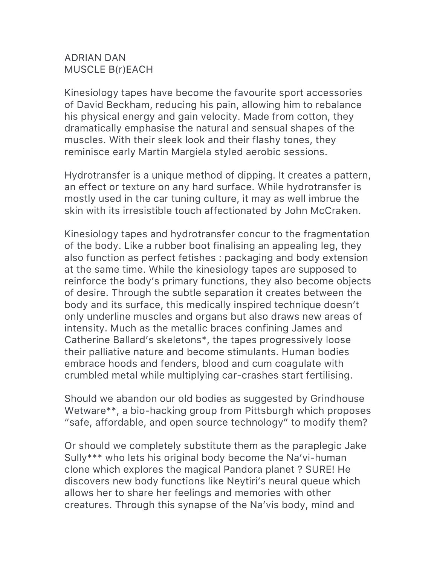## ADRIAN DAN MUSCLE B(r)EACH

Kinesiology tapes have become the favourite sport accessories of David Beckham, reducing his pain, allowing him to rebalance his physical energy and gain velocity. Made from cotton, they dramatically emphasise the natural and sensual shapes of the muscles. With their sleek look and their flashy tones, they reminisce early Martin Margiela styled aerobic sessions.

Hydrotransfer is a unique method of dipping. It creates a pattern, an effect or texture on any hard surface. While hydrotransfer is mostly used in the car tuning culture, it may as well imbrue the skin with its irresistible touch affectionated by John McCraken.

Kinesiology tapes and hydrotransfer concur to the fragmentation of the body. Like a rubber boot finalising an appealing leg, they also function as perfect fetishes : packaging and body extension at the same time. While the kinesiology tapes are supposed to reinforce the body's primary functions, they also become objects of desire. Through the subtle separation it creates between the body and its surface, this medically inspired technique doesn't only underline muscles and organs but also draws new areas of intensity. Much as the metallic braces confining James and Catherine Ballard's skeletons\*, the tapes progressively loose their palliative nature and become stimulants. Human bodies embrace hoods and fenders, blood and cum coagulate with crumbled metal while multiplying car-crashes start fertilising.

Should we abandon our old bodies as suggested by Grindhouse Wetware\*\*, a bio-hacking group from Pittsburgh which proposes "safe, affordable, and open source technology" to modify them?

Or should we completely substitute them as the paraplegic Jake Sully\*\*\* who lets his original body become the Na'vi-human clone which explores the magical Pandora planet ? SURE! He discovers new body functions like Neytiri's neural queue which allows her to share her feelings and memories with other creatures. Through this synapse of the Na'vis body, mind and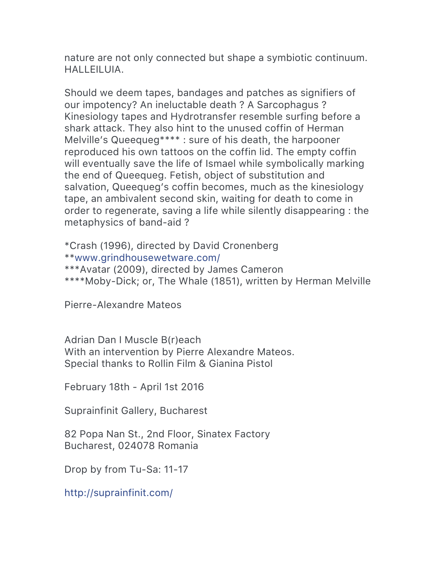nature are not only connected but shape a symbiotic continuum. HALLEILUIA.

Should we deem tapes, bandages and patches as signifiers of our impotency? An ineluctable death ? A Sarcophagus ? Kinesiology tapes and Hydrotransfer resemble surfing before a shark attack. They also hint to the unused coffin of Herman Melville's Queequeg\*\*\*\* : sure of his death, the harpooner reproduced his own tattoos on the coffin lid. The empty coffin will eventually save the life of Ismael while symbolically marking the end of Queequeg. Fetish, object of substitution and salvation, Queequeg's coffin becomes, much as the kinesiology tape, an ambivalent second skin, waiting for death to come in order to regenerate, saving a life while silently disappearing : the metaphysics of band-aid ?

\*Crash (1996), directed by David Cronenberg \*\*www.grindhousewetware.com/ \*\*\*Avatar (2009), directed by James Cameron \*\*\*\*Moby-Dick; or, The Whale (1851), written by Herman Melville

Pierre-Alexandre Mateos

Adrian Dan I Muscle B(r)each With an intervention by Pierre Alexandre Mateos. Special thanks to Rollin Film & Gianina Pistol

February 18th - April 1st 2016

Suprainfinit Gallery, Bucharest

82 Popa Nan St., 2nd Floor, Sinatex Factory Bucharest, 024078 Romania

Drop by from Tu-Sa: 11-17

http://suprainfinit.com/